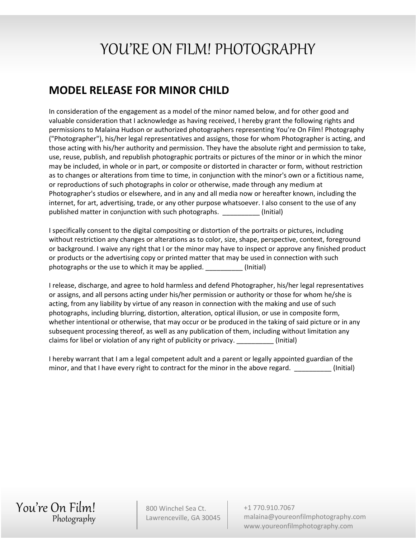## YOU'RE ON FILM! PHOTOGRAPHY

## **MODEL RELEASE FOR MINOR CHILD**

In consideration of the engagement as a model of the minor named below, and for other good and valuable consideration that I acknowledge as having received, I hereby grant the following rights and permissions to Malaina Hudson or authorized photographers representing You're On Film! Photography ("Photographer"), his/her legal representatives and assigns, those for whom Photographer is acting, and those acting with his/her authority and permission. They have the absolute right and permission to take, use, reuse, publish, and republish photographic portraits or pictures of the minor or in which the minor may be included, in whole or in part, or composite or distorted in character or form, without restriction as to changes or alterations from time to time, in conjunction with the minor's own or a fictitious name, or reproductions of such photographs in color or otherwise, made through any medium at Photographer's studios or elsewhere, and in any and all media now or hereafter known, including the internet, for art, advertising, trade, or any other purpose whatsoever. I also consent to the use of any published matter in conjunction with such photographs. \_\_\_\_\_\_\_\_\_\_ (Initial)

I specifically consent to the digital compositing or distortion of the portraits or pictures, including without restriction any changes or alterations as to color, size, shape, perspective, context, foreground or background. I waive any right that I or the minor may have to inspect or approve any finished product or products or the advertising copy or printed matter that may be used in connection with such photographs or the use to which it may be applied. \_\_\_\_\_\_\_\_\_\_ (Initial)

I release, discharge, and agree to hold harmless and defend Photographer, his/her legal representatives or assigns, and all persons acting under his/her permission or authority or those for whom he/she is acting, from any liability by virtue of any reason in connection with the making and use of such photographs, including blurring, distortion, alteration, optical illusion, or use in composite form, whether intentional or otherwise, that may occur or be produced in the taking of said picture or in any subsequent processing thereof, as well as any publication of them, including without limitation any claims for libel or violation of any right of publicity or privacy. \_\_\_\_\_\_\_\_\_\_ (Initial)

I hereby warrant that I am a legal competent adult and a parent or legally appointed guardian of the minor, and that I have every right to contract for the minor in the above regard. \_\_\_\_\_\_\_\_\_\_\_\_\_\_\_\_\_ (Initial)

You're On Film! Photography

800 Winchel Sea Ct. Lawrenceville, GA 30045

+1 770.910.7067 malaina@youreonfilmphotography.com www.youreonfilmphotography.com